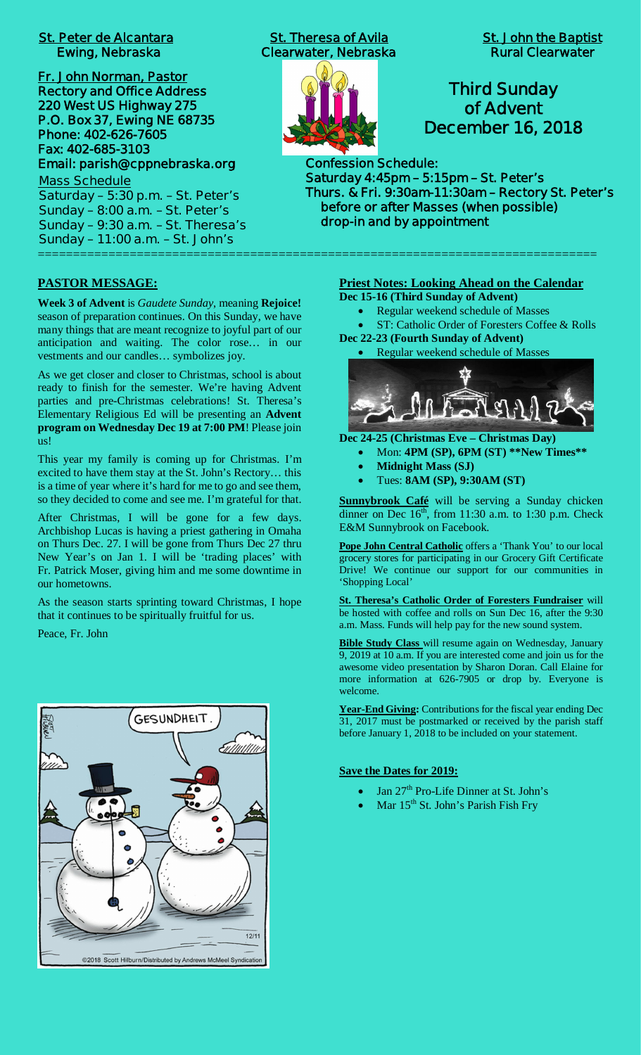# **St. Peter de Alcantara St. Theresa of Avila St. John the Baptist**

**Fr. John Norman, Pastor Rectory and Office Address 220 West US Highway 275 P.O. Box 37, Ewing NE 68735 Phone: 402-626-7605 Fax: 402-685-3103 Email: parish@cppnebraska.org**

**Mass Schedule Saturday – 5:30 p.m. – St. Peter's Sunday – 8:00 a.m. – St. Peter's Sunday – 9:30 a.m. – St. Theresa's Sunday – 11:00 a.m. – St. John's** ===============================================================================

#### **PASTOR MESSAGE:**

**Week 3 of Advent** is *Gaudete Sunday*, meaning **Rejoice!** season of preparation continues. On this Sunday, we have many things that are meant recognize to joyful part of our anticipation and waiting. The color rose… in our vestments and our candles… symbolizes joy.

As we get closer and closer to Christmas, school is about ready to finish for the semester. We're having Advent parties and pre-Christmas celebrations! St. Theresa's Elementary Religious Ed will be presenting an **Advent program on Wednesday Dec 19 at 7:00 PM**! Please join us!

This year my family is coming up for Christmas. I'm excited to have them stay at the St. John's Rectory… this is a time of year where it's hard for me to go and see them, so they decided to come and see me. I'm grateful for that.

After Christmas, I will be gone for a few days. Archbishop Lucas is having a priest gathering in Omaha on Thurs Dec. 27. I will be gone from Thurs Dec 27 thru New Year's on Jan 1. I will be 'trading places' with Fr. Patrick Moser, giving him and me some downtime in our hometowns.

As the season starts sprinting toward Christmas, I hope that it continues to be spiritually fruitful for us.

Peace, Fr. John



 **Ewing, Nebraska Clearwater, Nebraska Rural Clearwater**



# **Third Sunday of Advent December 16, 2018**

**Confession Schedule: Saturday 4:45pm – 5:15pm – St. Peter's Thurs. & Fri. 9:30am-11:30am – Rectory St. Peter's before or after Masses (when possible) drop-in and by appointment**

# **Priest Notes: Looking Ahead on the Calendar**

- **Dec 15-16 (Third Sunday of Advent)**
	- · Regular weekend schedule of Masses
- ST: Catholic Order of Foresters Coffee & Rolls **Dec 22-23 (Fourth Sunday of Advent)**
	- Regular weekend schedule of Masses



- **Dec 24-25 (Christmas Eve Christmas Day)**
	- · Mon: **4PM (SP), 6PM (ST) \*\*New Times\*\***
	- · **Midnight Mass (SJ)**
	- · Tues: **8AM (SP), 9:30AM (ST)**

**Sunnybrook Café** will be serving a Sunday chicken dinner on Dec  $16<sup>th</sup>$ , from 11:30 a.m. to 1:30 p.m. Check E&M Sunnybrook on Facebook.

**Pope John Central Catholic** offers a 'Thank You' to our local grocery stores for participating in our Grocery Gift Certificate Drive! We continue our support for our communities in 'Shopping Local'

**St. Theresa's Catholic Order of Foresters Fundraiser** will be hosted with coffee and rolls on Sun Dec 16, after the 9:30 a.m. Mass. Funds will help pay for the new sound system.

**Bible Study Class** will resume again on Wednesday, January 9, 2019 at 10 a.m. If you are interested come and join us for the awesome video presentation by Sharon Doran. Call Elaine for more information at 626-7905 or drop by. Everyone is welcome.

**Year-End Giving:** Contributions for the fiscal year ending Dec 31, 2017 must be postmarked or received by the parish staff before January 1, 2018 to be included on your statement.

#### **Save the Dates for 2019:**

- Jan 27<sup>th</sup> Pro-Life Dinner at St. John's
- Mar  $15<sup>th</sup>$  St. John's Parish Fish Fry